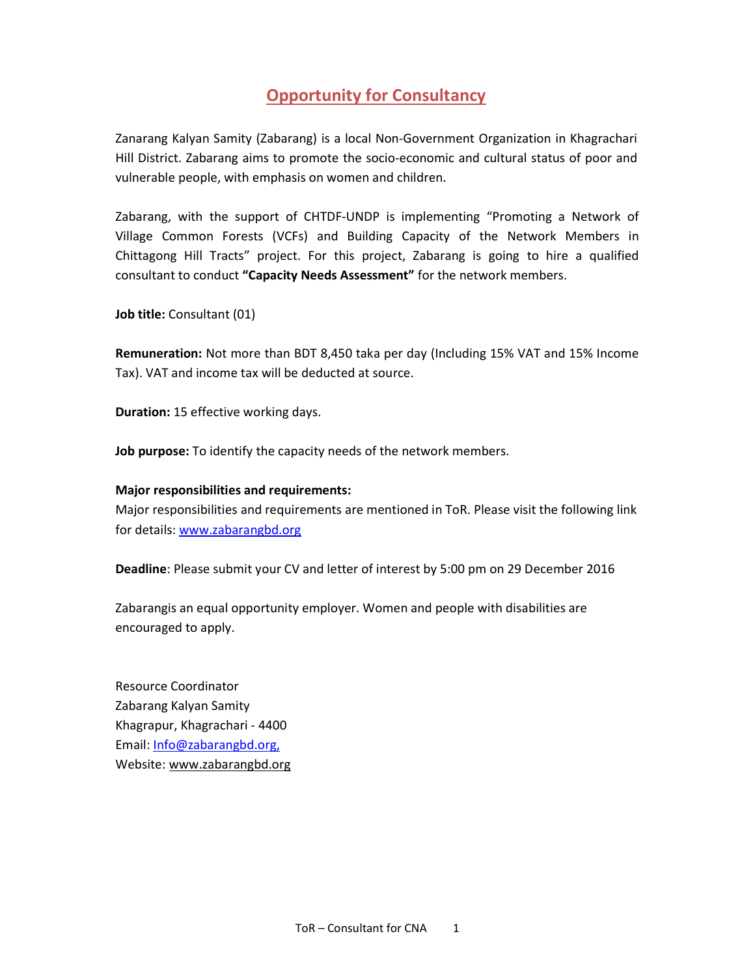# Opportunity for Consultancy

Zanarang Kalyan Samity (Zabarang) is a local Non-Government Organization in Khagrachari Hill District. Zabarang aims to promote the socio-economic and cultural status of poor and vulnerable people, with emphasis on women and children.

Zabarang, with the support of CHTDF-UNDP is implementing "Promoting a Network of Village Common Forests (VCFs) and Building Capacity of the Network Members in Chittagong Hill Tracts" project. For this project, Zabarang is going to hire a qualified consultant to conduct "Capacity Needs Assessment" for the network members.

Job title: Consultant (01)

Remuneration: Not more than BDT 8,450 taka per day (Including 15% VAT and 15% Income Tax). VAT and income tax will be deducted at source.

Duration: 15 effective working days.

Job purpose: To identify the capacity needs of the network members.

#### Major responsibilities and requirements:

Major responsibilities and requirements are mentioned in ToR. Please visit the following link for details: www.zabarangbd.org

Deadline: Please submit your CV and letter of interest by 5:00 pm on 29 December 2016

Zabarangis an equal opportunity employer. Women and people with disabilities are encouraged to apply.

Resource Coordinator Zabarang Kalyan Samity Khagrapur, Khagrachari - 4400 Email: Info@zabarangbd.org, Website: www.zabarangbd.org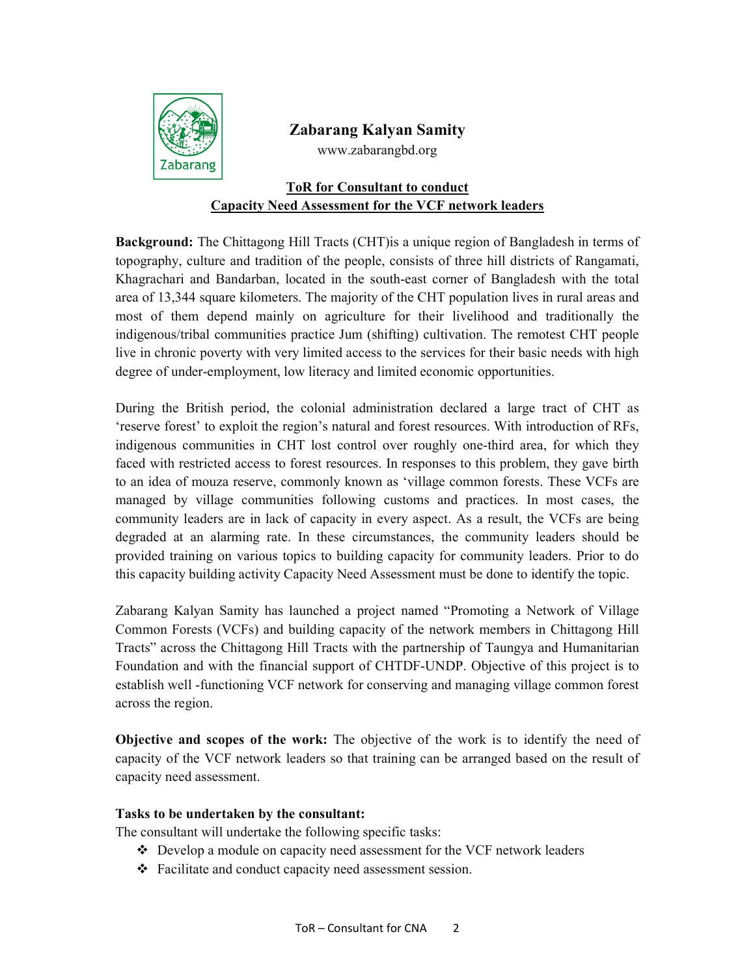

## Zabarang Kalyan Samity

www.zabarangbd.org

## ToR for Consultant to conduct Capacity Need Assessment for the VCF network leaders

Background: The Chittagong Hill Tracts (CHT)is a unique region of Bangladesh in terms of topography, culture and tradition of the people, consists of three hill districts of Rangamati, Khagrachari and Bandarban, located in the south-east corner of Bangladesh with the total area of 13,344 square kilometers. The majority of the CHT population lives in rural areas and most of them depend mainly on agriculture for their livelihood and traditionally the indigenous/tribal communities practice Jum (shifting) cultivation. The remotest CHT people live in chronic poverty with very limited access to the services for their basic needs with high degree of under-employment, low literacy and limited economic opportunities.

During the British period, the colonial administration declared a large tract of CHT as 'reserve forest' to exploit the region's natural and forest resources. With introduction of RFs, indigenous communities in CHT lost control over roughly one-third area, for which they faced with restricted access to forest resources. In responses to this problem, they gave birth to an idea of mouza reserve, commonly known as 'village common forests. These VCFs are managed by village communities following customs and practices. In most cases, the community leaders are in lack of capacity in every aspect. As a result, the VCFs are being degraded at an alarming rate. In these circumstances, the community leaders should be provided training on various topics to building capacity for community leaders. Prior to do this capacity building activity Capacity Need Assessment must be done to identify the topic.

Zabarang Kalyan Samity has launched a project named "Promoting a Network of Village Common Forests (VCFs) and building capacity of the network members in Chittagong Hill Tracts" across the Chittagong Hill Tracts with the partnership of Taungya and Humanitarian Foundation and with the financial support of CHTDF-UNDP. Objective of this project is to establish well -functioning VCF network for conserving and managing village common forest across the region.

Objective and scopes of the work: The objective of the work is to identify the need of capacity of the VCF network leaders so that training can be arranged based on the result of capacity need assessment.

### Tasks to be undertaken by the consultant:

The consultant will undertake the following specific tasks:

- $\div$  Develop a module on capacity need assessment for the VCF network leaders
- Facilitate and conduct capacity need assessment session.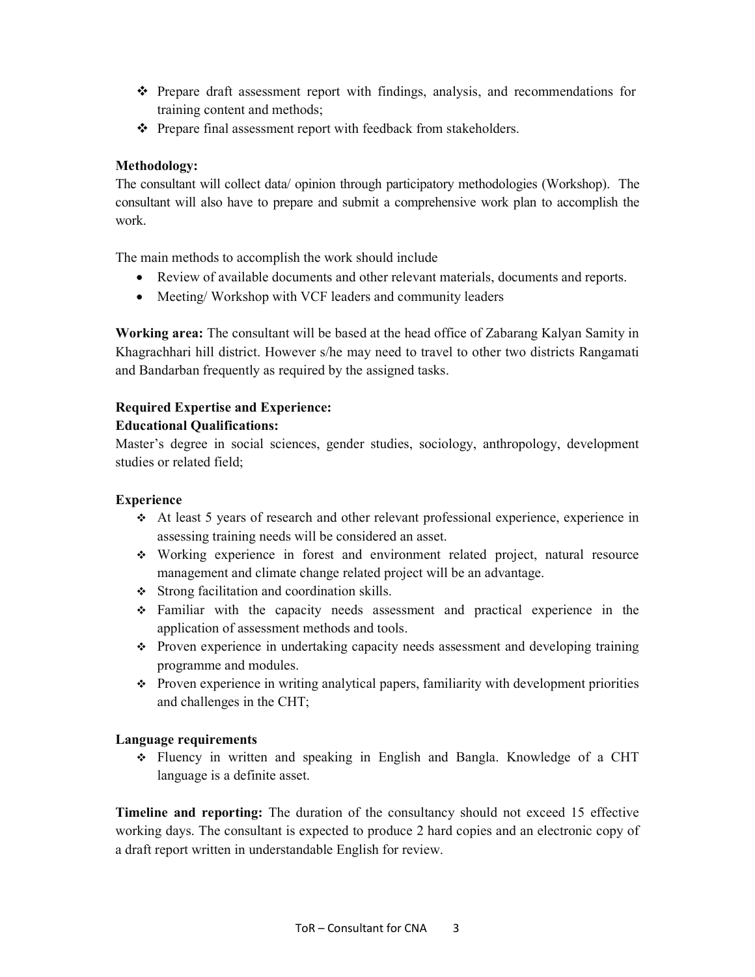- $\hat{\mathbf{v}}$  Prepare draft assessment report with findings, analysis, and recommendations for training content and methods;
- Prepare final assessment report with feedback from stakeholders.

### Methodology:

The consultant will collect data/ opinion through participatory methodologies (Workshop). The consultant will also have to prepare and submit a comprehensive work plan to accomplish the work.

The main methods to accomplish the work should include

- Review of available documents and other relevant materials, documents and reports.
- Meeting/Workshop with VCF leaders and community leaders

Working area: The consultant will be based at the head office of Zabarang Kalyan Samity in Khagrachhari hill district. However s/he may need to travel to other two districts Rangamati and Bandarban frequently as required by the assigned tasks.

## Required Expertise and Experience:

#### Educational Qualifications:

Master's degree in social sciences, gender studies, sociology, anthropology, development studies or related field;

### Experience

- At least 5 years of research and other relevant professional experience, experience in assessing training needs will be considered an asset.
- Working experience in forest and environment related project, natural resource management and climate change related project will be an advantage.
- Strong facilitation and coordination skills.
- Familiar with the capacity needs assessment and practical experience in the application of assessment methods and tools.
- Proven experience in undertaking capacity needs assessment and developing training programme and modules.
- $\cdot \cdot$  Proven experience in writing analytical papers, familiarity with development priorities and challenges in the CHT;

### Language requirements

 Fluency in written and speaking in English and Bangla. Knowledge of a CHT language is a definite asset.

Timeline and reporting: The duration of the consultancy should not exceed 15 effective working days. The consultant is expected to produce 2 hard copies and an electronic copy of a draft report written in understandable English for review.